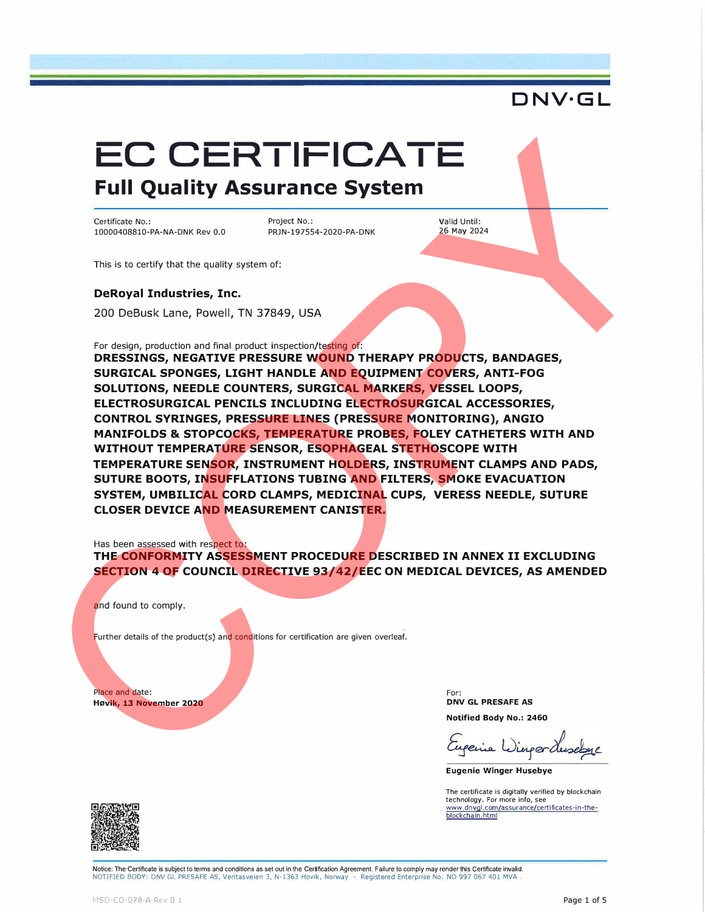## **EC CERTIFICATE Full Quality Assurance System**

Certificate No.: 10000408810-PA-NA-DNK Rev 0.0 Project No.: PRJN-197554-2020-PA-DNK Valid Until: 26 May 2024

This is to certify that the quality system of:

**DeRoyal Industries, Inc.** 

200 DeBusk Lane, Powell, TN 37849, USA

For design, production and final product inspection/testing of:

**DRESSINGS, NEGATIVE PRESSURE WOUND THERAPY PRODUCTS, BANDAGES, SURGICAL SPONGES, LIGHT HANDLE AND EQUIPMENT COVERS, ANTI-FOG SOLUTIONS, NEEDLE COUNTERS, SURGICAL MARKERS, VESSEL LOOPS, ELECTROSURGICAL PENCILS INCLUDING ELECTROSURGICAL ACCESSORIES, CONTROL SYRINGES, PRESSURE LINES (PRESSURE MONITORING), ANGIO MANIFOLDS & STOPCOCKS, TEMPERATURE PROBES, FOLEY CATHETERS WITH AND WITHOUT TEMPERATURE SENSOR, ESOPHAGEAL STETHOSCOPE WITH TEMPERATURE SENSOR, INSTRUMENT HOLDERS, INSTRUMENT CLAMPS AND PADS, SUTURE BOOTS, INSUFFLATIONS TUBING AND FILTERS, SMOKE EVACUATION SYSTEM, UMBILICAL CORD CLAMPS, MEDICINAL CUPS, VERESS NEEDLE, SUTURE CLOSER DEVICE AND MEASUREMENT CANISTER.**  EURO CERTIFICATE SUS CONTENUES CONTENUES CONTENUES CONTENUES CONTENUES CONTENUES CONTENUES CONTENUES CONTENUES CONTENUES CONTENUES CONTENUES CONTENUES CONTENUES CONTENUES CONTENUES CONTENUES CONTENUES CONTENUES CONTENUES C

Has been assessed with respect to:

**THE CONFORMITY ASSESSMENT PROCEDURE DESCRIBED IN ANNEX II EXCLUDING SECTION 4 OF COUNCIL DIRECTIVE 93/42/EEC ON MEDICAL DEVICES, AS AMENDED** 

and found to comply.

Further details of the product(s) and conditions for certification are given overleaf.

Place and date: **Høvik, 13 November 2020**  For: **DNV GL PRESAFE AS Notified Body No.: 2460** 

**Eugenie Winger Husebye** 

The certificate is digitally verified by blockchain technology. For more info, see <u>www.dnvql.com/assurance/certificates-in-the-</u><br>blockchain.html



Notice: The Certificate is subject to terms and conditions as set out in the Certification Agreement. Failure to comply may render this Certificate invalid. NOTIFIED BODY: DNV GL PRESAFE AS, Veritasveien 3, N-1363 Hovik, Norway - Registered Enterprise No: NO 997 067 401 MVA,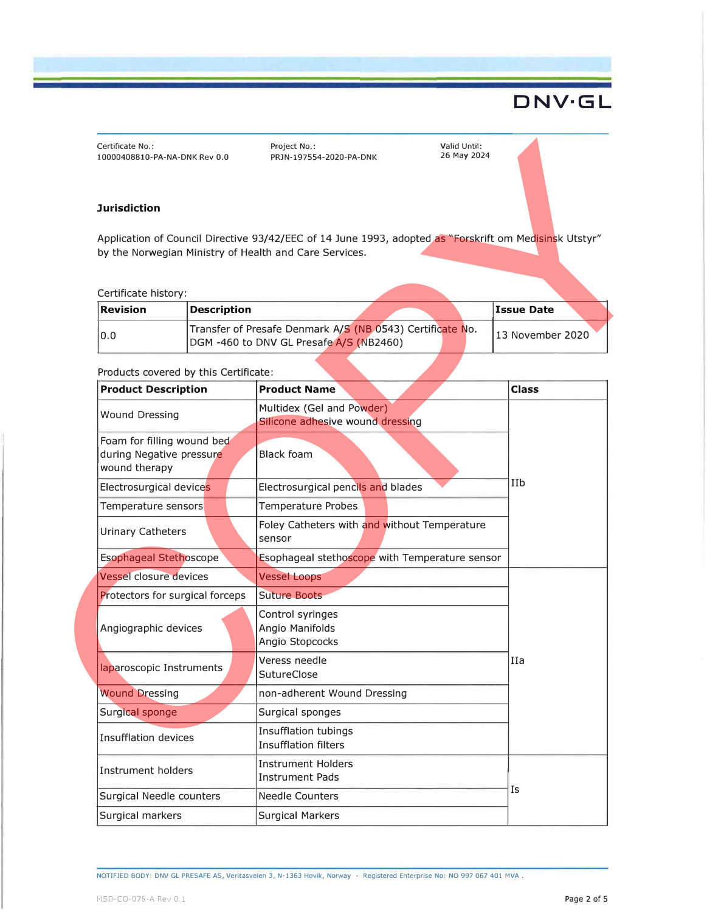#### **Jurisdiction**

#### Certificate history:

| <b>Revision</b> | Description                                                                                          |  | Issue Date       |
|-----------------|------------------------------------------------------------------------------------------------------|--|------------------|
| 10.0            | Transfer of Presafe Denmark A/S (NB 0543) Certificate No.<br>DGM -460 to DNV GL Presafe A/S (NB2460) |  | 13 November 2020 |

#### Products covered by this Certificate:

| Certificate No.:<br>10000408810-PA-NA-DNK Rev 0.0                       |                                                                                                      | Project No.:<br>PRJN-197554-2020-PA-DNK                                                                                                                          | Valid Until:<br>26 May 2024 |                   |
|-------------------------------------------------------------------------|------------------------------------------------------------------------------------------------------|------------------------------------------------------------------------------------------------------------------------------------------------------------------|-----------------------------|-------------------|
| <b>Jurisdiction</b>                                                     |                                                                                                      |                                                                                                                                                                  |                             |                   |
|                                                                         |                                                                                                      | Application of Council Directive 93/42/EEC of 14 June 1993, adopted as "Forskrift om Medisinsk Utstyr"<br>by the Norwegian Ministry of Health and Care Services. |                             |                   |
| Certificate history:<br><b>Revision</b>                                 | <b>Description</b>                                                                                   |                                                                                                                                                                  |                             | <b>Issue Date</b> |
| 0.0                                                                     | Transfer of Presafe Denmark A/S (NB 0543) Certificate No.<br>DGM -460 to DNV GL Presafe A/S (NB2460) |                                                                                                                                                                  | 13 November 2020            |                   |
| Products covered by this Certificate:                                   |                                                                                                      |                                                                                                                                                                  |                             |                   |
| <b>Product Description</b>                                              |                                                                                                      | <b>Product Name</b>                                                                                                                                              |                             | <b>Class</b>      |
| <b>Wound Dressing</b>                                                   |                                                                                                      | Multidex (Gel and Powder)<br>Silicone adhesive wound dressing                                                                                                    |                             |                   |
| Foam for filling wound bed<br>during Negative pressure<br>wound therapy |                                                                                                      | <b>Black foam</b>                                                                                                                                                |                             |                   |
| Electrosurgical devices                                                 |                                                                                                      | Electrosurgical pencils and blades                                                                                                                               |                             | IIb               |
| Temperature sensors                                                     |                                                                                                      | <b>Temperature Probes</b>                                                                                                                                        |                             |                   |
| <b>Urinary Catheters</b>                                                |                                                                                                      | Foley Catheters with and without Temperature<br>sensor                                                                                                           |                             |                   |
| <b>Esophageal Stethoscope</b>                                           |                                                                                                      | Esophageal stethoscope with Temperature sensor                                                                                                                   |                             |                   |
| <b>Vessel closure devices</b>                                           |                                                                                                      | <b>Vessel Loops</b>                                                                                                                                              |                             |                   |
| Protectors for surgical forceps                                         |                                                                                                      | <b>Suture Boots</b>                                                                                                                                              |                             |                   |
| Angiographic devices                                                    |                                                                                                      | Control syringes<br>Angio Manifolds<br>Angio Stopcocks                                                                                                           |                             |                   |
| laparoscopic Instruments                                                |                                                                                                      | Veress needle<br>SutureClose                                                                                                                                     |                             | IIa               |
| <b>Wound Dressing</b>                                                   |                                                                                                      | non-adherent Wound Dressing                                                                                                                                      |                             |                   |
| Surgical sponge                                                         |                                                                                                      | Surgical sponges                                                                                                                                                 |                             |                   |
| Insufflation devices                                                    |                                                                                                      | <b>Insufflation tubings</b><br><b>Insufflation filters</b>                                                                                                       |                             |                   |
| Instrument holders                                                      |                                                                                                      | <b>Instrument Holders</b><br><b>Instrument Pads</b>                                                                                                              |                             |                   |
| <b>Surgical Needle counters</b>                                         |                                                                                                      | <b>Needle Counters</b>                                                                                                                                           |                             | Is                |
| Surgical markers                                                        |                                                                                                      | <b>Surgical Markers</b>                                                                                                                                          |                             |                   |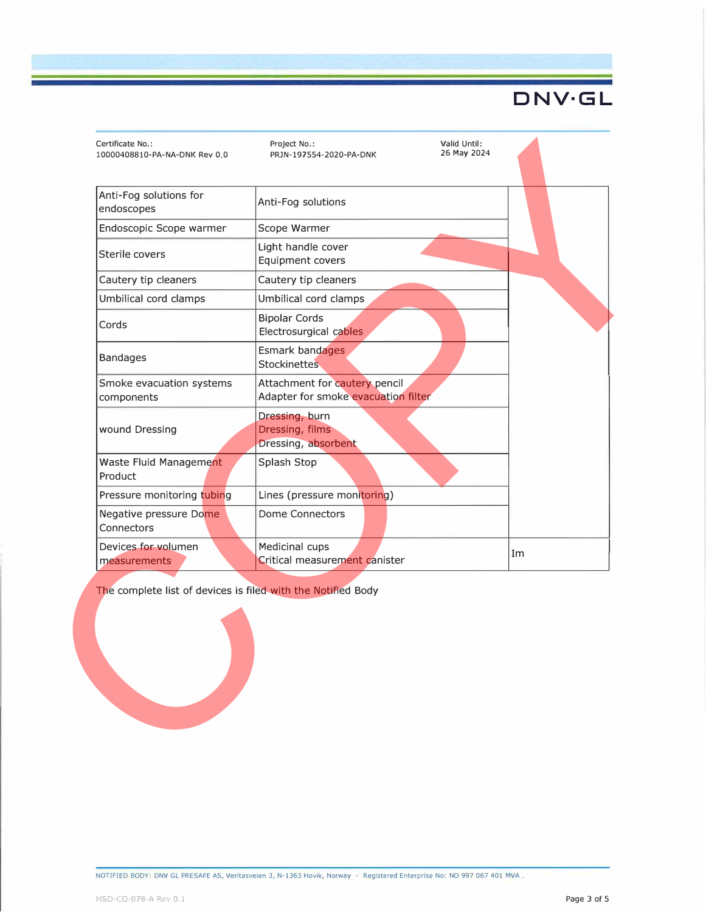| Anti-Fog solutions for<br>endoscopes                         | Anti-Fog solutions                                                   |    |
|--------------------------------------------------------------|----------------------------------------------------------------------|----|
| Endoscopic Scope warmer                                      | Scope Warmer                                                         |    |
| Sterile covers                                               | Light handle cover<br>Equipment covers                               |    |
| Cautery tip cleaners                                         | Cautery tip cleaners                                                 |    |
| Umbilical cord clamps                                        | Umbilical cord clamps                                                |    |
| Cords                                                        | <b>Bipolar Cords</b><br>Electrosurgical cables                       |    |
| <b>Bandages</b>                                              | Esmark bandages<br><b>Stockinettes</b>                               |    |
| Smoke evacuation systems<br>components                       | Attachment for cautery pencil<br>Adapter for smoke evacuation filter |    |
| wound Dressing                                               | Dressing, burn<br>Dressing, films<br>Dressing, absorbent             |    |
| Waste Fluid Management<br>Product                            | Splash Stop                                                          |    |
| Pressure monitoring tubing                                   | Lines (pressure monitoring)                                          |    |
| Negative pressure Dome<br>Connectors                         | <b>Dome Connectors</b>                                               |    |
| Devices for volumen<br>measurements                          | Medicinal cups<br>Critical measurement canister                      | Im |
| The complete list of devices is filed with the Notified Body |                                                                      |    |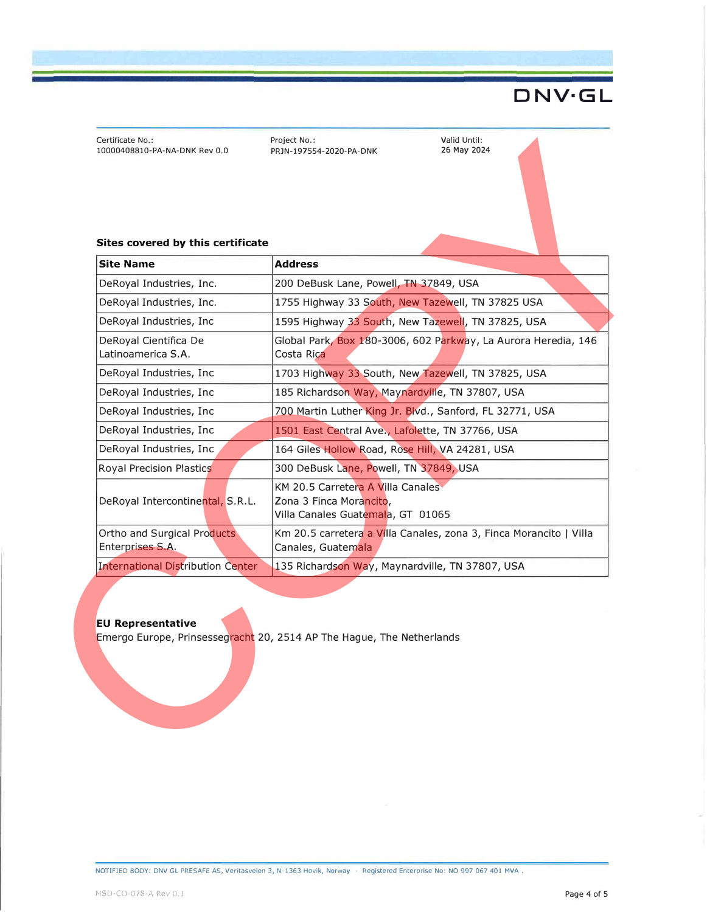Certificate No.: 10000408810-PA-NA-DNK Rev 0.0 Project No.: PRJN-197554-2020-PA-DNK Valid Until: 26 May 2024

#### **Sites covered by this certificate**

| DeRoyal Industries, Inc.                        | 200 DeBusk Lane, Powell, TN 37849, USA                                                            |
|-------------------------------------------------|---------------------------------------------------------------------------------------------------|
| DeRoyal Industries, Inc.                        | 1755 Highway 33 South, New Tazewell, TN 37825 USA                                                 |
| DeRoyal Industries, Inc                         | 1595 Highway 33 South, New Tazewell, TN 37825, USA                                                |
| DeRoyal Cientifica De<br>Latinoamerica S.A.     | Global Park, Box 180-3006, 602 Parkway, La Aurora Heredia, 146<br>Costa Rica                      |
| DeRoyal Industries, Inc                         | 1703 Highway 33 South, New Tazewell, TN 37825, USA                                                |
| DeRoyal Industries, Inc.                        | 185 Richardson Way, Maynardville, TN 37807, USA                                                   |
| DeRoyal Industries, Inc.                        | 700 Martin Luther King Jr. Blvd., Sanford, FL 32771, USA                                          |
| DeRoyal Industries, Inc                         | 1501 East Central Ave., Lafolette, TN 37766, USA                                                  |
| DeRoyal Industries, Inc.                        | 164 Giles Hollow Road, Rose Hill, VA 24281, USA                                                   |
| <b>Royal Precision Plastics</b>                 | 300 DeBusk Lane, Powell, TN 37849, USA                                                            |
| DeRoyal Intercontinental, S.R.L.                | KM 20.5 Carretera A Villa Canales<br>Zona 3 Finca Morancito,<br>Villa Canales Guatemala, GT 01065 |
| Ortho and Surgical Products<br>Enterprises S.A. | Km 20.5 carretera a Villa Canales, zona 3, Finca Morancito   Villa<br>Canales, Guatemala          |
| <b>International Distribution Center</b>        | 135 Richardson Way, Maynardville, TN 37807, USA                                                   |
| <b>EU Representative</b>                        | Emergo Europe, Prinsessegracht 20, 2514 AP The Hague, The Netherlands                             |

#### **EU Representative**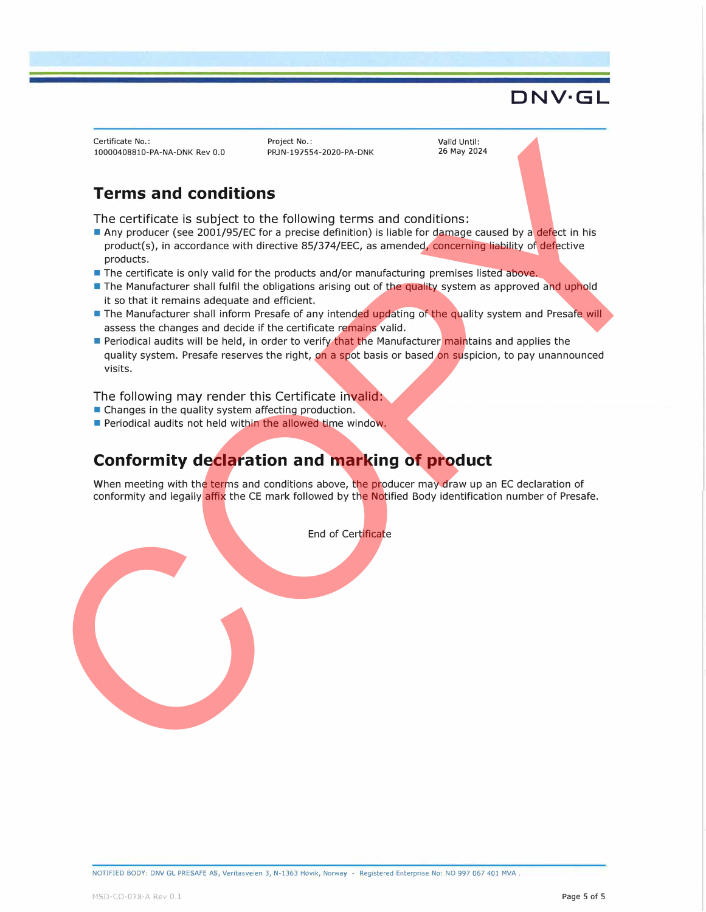Certificate No.: 10000408810-PA-NA-DNK Rev 0.0

Project No.: PRJN-197554-2020-PA-DNK Valid Until: 26 May 2024

### **Terms and conditions**

The certificate is subject to the following terms and conditions:

- Any producer (see 2001/95/EC for a precise definition) is liable for damage caused by a defect in his product(s), in accordance with directive 85/374/EEC, as amended, concerning liability of defective products.
- The certificate is only valid for the products and/or manufacturing premises listed above.
- The Manufacturer shall fulfil the obligations arising out of the quality system as approved and uphold it so that it remains adequate and efficient.
- The Manufacturer shall inform Presafe of any intended updating of the quality system and Presafe will assess the changes and decide if the certificate remains valid.
- Periodical audits will be held, in order to verify that the Manufacturer maintains and applies the quality system. Presafe reserves the right, on a spot basis or based on suspicion, to pay unannounced visits. CHEME RESULTS AND CHEME THE CHINA CHEME CHEME CHEME CHEME CONTROL CHEME THE CONTROL INTO THE CHEMEN CHEME THE CHEMEN CHEME THE CHEMEN CHEME THE CHEMEN CHEME THE CHEMEN CHEME CHEMEN CHEME THE CHEMEN CHEME THE CHEMEN CHEME T

#### The following may render this Certificate invalid:

- Changes in the quality system affecting production.
- Periodical audits not held within the allowed time window.

## **Conformity declaration and marking of product**

When meeting with the terms and conditions above, the producer may draw up an EC declaration of conformity and legally affix the CE mark followed by the Notified Body identification number of Presafe.

End of Certificate